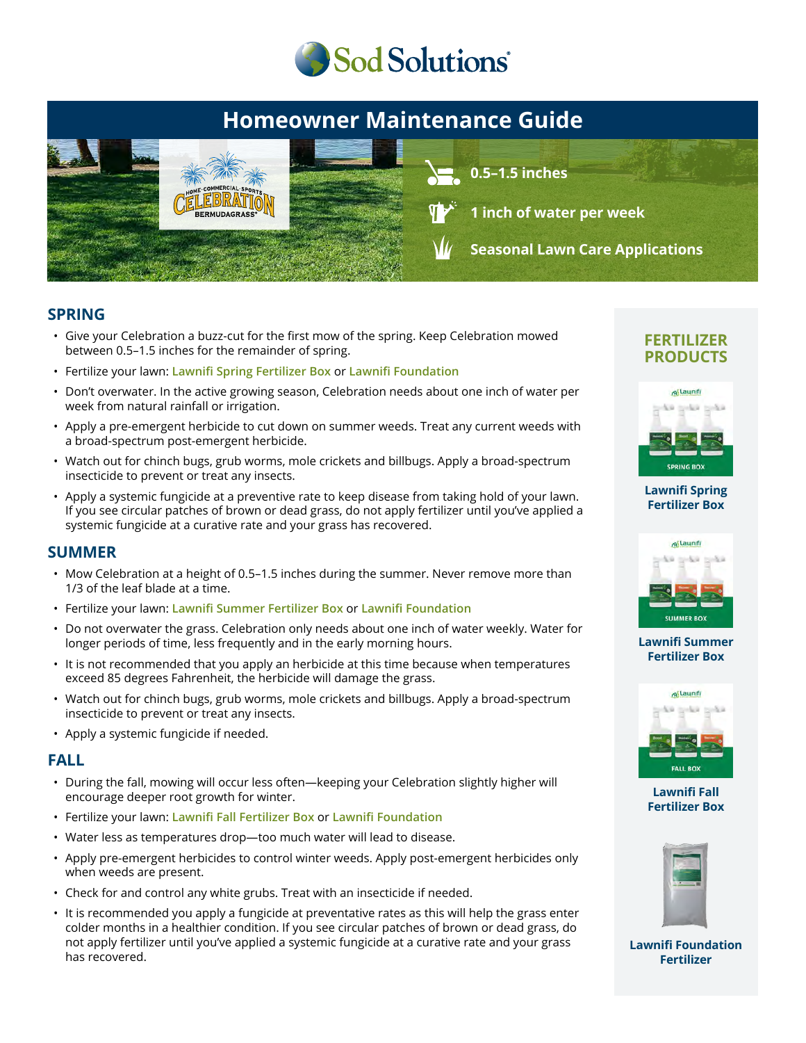

# **Homeowner Maintenance Guide**



### **SPRING**

- Give your Celebration a buzz-cut for the first mow of the spring. Keep Celebration mowed between 0.5–1.5 inches for the remainder of spring.
- Fertilize your lawn: **Lawnifi Spring Fertilizer Box** or **Lawnifi Foundation**
- Don't overwater. In the active growing season, Celebration needs about one inch of water per week from natural rainfall or irrigation.
- Apply a pre-emergent herbicide to cut down on summer weeds. Treat any current weeds with a broad-spectrum post-emergent herbicide.
- Watch out for chinch bugs, grub worms, mole crickets and billbugs. Apply a broad-spectrum insecticide to prevent or treat any insects.
- Apply a systemic fungicide at a preventive rate to keep disease from taking hold of your lawn. If you see circular patches of brown or dead grass, do not apply fertilizer until you've applied a systemic fungicide at a curative rate and your grass has recovered.

### **SUMMER**

- Mow Celebration at a height of 0.5–1.5 inches during the summer. Never remove more than 1/3 of the leaf blade at a time.
- Fertilize your lawn: **Lawnifi Summer Fertilizer Box** or **Lawnifi Foundation**
- Do not overwater the grass. Celebration only needs about one inch of water weekly. Water for longer periods of time, less frequently and in the early morning hours.
- It is not recommended that you apply an herbicide at this time because when temperatures exceed 85 degrees Fahrenheit, the herbicide will damage the grass.
- Watch out for chinch bugs, grub worms, mole crickets and billbugs. Apply a broad-spectrum insecticide to prevent or treat any insects.
- Apply a systemic fungicide if needed.

### **FALL**

- During the fall, mowing will occur less often—keeping your Celebration slightly higher will encourage deeper root growth for winter.
- Fertilize your lawn: **Lawnifi Fall Fertilizer Box** or **Lawnifi Foundation**
- Water less as temperatures drop—too much water will lead to disease.
- Apply pre-emergent herbicides to control winter weeds. Apply post-emergent herbicides only when weeds are present.
- Check for and control any white grubs. Treat with an insecticide if needed.
- It is recommended you apply a fungicide at preventative rates as this will help the grass enter colder months in a healthier condition. If you see circular patches of brown or dead grass, do not apply fertilizer until you've applied a systemic fungicide at a curative rate and your grass has recovered.

### **FERTILIZER PRODUCTS**



#### **[Lawnifi Spring](https://sodsolutions.com/shop/fertilizer/spring-fertilizer-box/) Fertilizer Box**



#### **[Lawnifi Summer](https://sodsolutions.com/shop/fertilizer/summer-fertilizer-box/) Fertilizer Box**



**Lawnifi Fall [Fertilizer Box](https://sodsolutions.com/shop/fertilizer/fall-fertilizer-box/)**



**[Lawnifi Foundation](https://sodsolutions.com/shop/fertilizer/lawnifi-foundation/) Fertilizer**